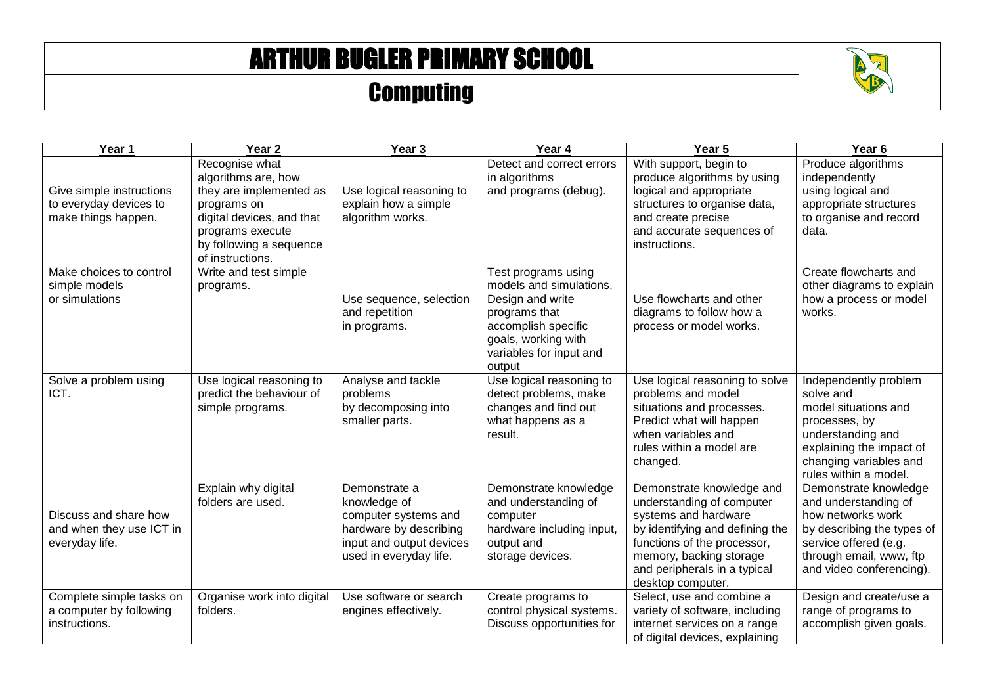## ARTHUR BUGLER PRIMARY SCHOOL

## **Computing**



| Year 1                                                                    | Year <sub>2</sub>                                                                                                                                                               | Year <sub>3</sub>                                                                                                                     | Year 4                                                                                                                                                                 | Year 5                                                                                                                                                                                                                           | Year <sub>6</sub>                                                                                                                                                                |
|---------------------------------------------------------------------------|---------------------------------------------------------------------------------------------------------------------------------------------------------------------------------|---------------------------------------------------------------------------------------------------------------------------------------|------------------------------------------------------------------------------------------------------------------------------------------------------------------------|----------------------------------------------------------------------------------------------------------------------------------------------------------------------------------------------------------------------------------|----------------------------------------------------------------------------------------------------------------------------------------------------------------------------------|
| Give simple instructions<br>to everyday devices to<br>make things happen. | Recognise what<br>algorithms are, how<br>they are implemented as<br>programs on<br>digital devices, and that<br>programs execute<br>by following a sequence<br>of instructions. | Use logical reasoning to<br>explain how a simple<br>algorithm works.                                                                  | Detect and correct errors<br>in algorithms<br>and programs (debug).                                                                                                    | With support, begin to<br>produce algorithms by using<br>logical and appropriate<br>structures to organise data,<br>and create precise<br>and accurate sequences of<br>instructions.                                             | Produce algorithms<br>independently<br>using logical and<br>appropriate structures<br>to organise and record<br>data.                                                            |
| Make choices to control<br>simple models<br>or simulations                | Write and test simple<br>programs.                                                                                                                                              | Use sequence, selection<br>and repetition<br>in programs.                                                                             | Test programs using<br>models and simulations.<br>Design and write<br>programs that<br>accomplish specific<br>goals, working with<br>variables for input and<br>output | Use flowcharts and other<br>diagrams to follow how a<br>process or model works.                                                                                                                                                  | Create flowcharts and<br>other diagrams to explain<br>how a process or model<br>works.                                                                                           |
| Solve a problem using<br>ICT.                                             | Use logical reasoning to<br>predict the behaviour of<br>simple programs.                                                                                                        | Analyse and tackle<br>problems<br>by decomposing into<br>smaller parts.                                                               | Use logical reasoning to<br>detect problems, make<br>changes and find out<br>what happens as a<br>result.                                                              | Use logical reasoning to solve<br>problems and model<br>situations and processes.<br>Predict what will happen<br>when variables and<br>rules within a model are<br>changed.                                                      | Independently problem<br>solve and<br>model situations and<br>processes, by<br>understanding and<br>explaining the impact of<br>changing variables and<br>rules within a model.  |
| Discuss and share how<br>and when they use ICT in<br>everyday life.       | Explain why digital<br>folders are used.                                                                                                                                        | Demonstrate a<br>knowledge of<br>computer systems and<br>hardware by describing<br>input and output devices<br>used in everyday life. | Demonstrate knowledge<br>and understanding of<br>computer<br>hardware including input,<br>output and<br>storage devices.                                               | Demonstrate knowledge and<br>understanding of computer<br>systems and hardware<br>by identifying and defining the<br>functions of the processor,<br>memory, backing storage<br>and peripherals in a typical<br>desktop computer. | Demonstrate knowledge<br>and understanding of<br>how networks work<br>by describing the types of<br>service offered (e.g.<br>through email, www, ftp<br>and video conferencing). |
| Complete simple tasks on<br>a computer by following<br>instructions.      | Organise work into digital<br>folders.                                                                                                                                          | Use software or search<br>engines effectively.                                                                                        | Create programs to<br>control physical systems.<br>Discuss opportunities for                                                                                           | Select, use and combine a<br>variety of software, including<br>internet services on a range<br>of digital devices, explaining                                                                                                    | Design and create/use a<br>range of programs to<br>accomplish given goals.                                                                                                       |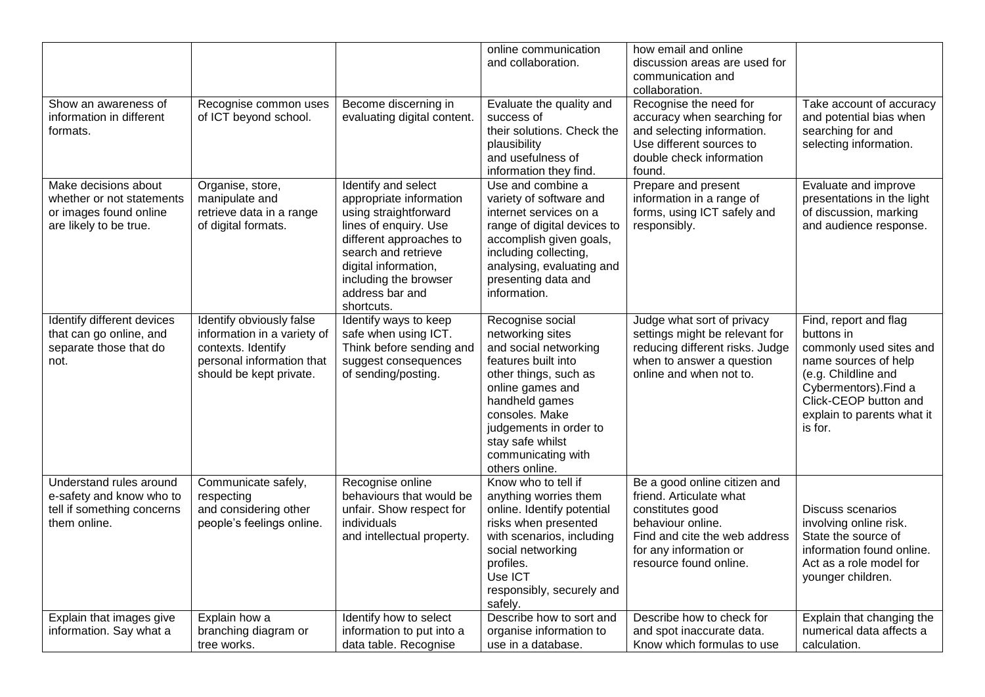|                                                                                                       |                                                                                                                                       |                                                                                                                                                                                                                                      | online communication<br>and collaboration.                                                                                                                                                                                                                  | how email and online<br>discussion areas are used for<br>communication and<br>collaboration.                                                                                          |                                                                                                                                                                                                          |
|-------------------------------------------------------------------------------------------------------|---------------------------------------------------------------------------------------------------------------------------------------|--------------------------------------------------------------------------------------------------------------------------------------------------------------------------------------------------------------------------------------|-------------------------------------------------------------------------------------------------------------------------------------------------------------------------------------------------------------------------------------------------------------|---------------------------------------------------------------------------------------------------------------------------------------------------------------------------------------|----------------------------------------------------------------------------------------------------------------------------------------------------------------------------------------------------------|
| Show an awareness of<br>information in different<br>formats.                                          | Recognise common uses<br>of ICT beyond school.                                                                                        | Become discerning in<br>evaluating digital content.                                                                                                                                                                                  | Evaluate the quality and<br>success of<br>their solutions. Check the<br>plausibility<br>and usefulness of<br>information they find.                                                                                                                         | Recognise the need for<br>accuracy when searching for<br>and selecting information.<br>Use different sources to<br>double check information<br>found.                                 | Take account of accuracy<br>and potential bias when<br>searching for and<br>selecting information.                                                                                                       |
| Make decisions about<br>whether or not statements<br>or images found online<br>are likely to be true. | Organise, store,<br>manipulate and<br>retrieve data in a range<br>of digital formats.                                                 | Identify and select<br>appropriate information<br>using straightforward<br>lines of enquiry. Use<br>different approaches to<br>search and retrieve<br>digital information,<br>including the browser<br>address bar and<br>shortcuts. | Use and combine a<br>variety of software and<br>internet services on a<br>range of digital devices to<br>accomplish given goals,<br>including collecting,<br>analysing, evaluating and<br>presenting data and<br>information.                               | Prepare and present<br>information in a range of<br>forms, using ICT safely and<br>responsibly.                                                                                       | Evaluate and improve<br>presentations in the light<br>of discussion, marking<br>and audience response.                                                                                                   |
| Identify different devices<br>that can go online, and<br>separate those that do<br>not.               | Identify obviously false<br>information in a variety of<br>contexts. Identify<br>personal information that<br>should be kept private. | Identify ways to keep<br>safe when using ICT.<br>Think before sending and<br>suggest consequences<br>of sending/posting.                                                                                                             | Recognise social<br>networking sites<br>and social networking<br>features built into<br>other things, such as<br>online games and<br>handheld games<br>consoles. Make<br>judgements in order to<br>stay safe whilst<br>communicating with<br>others online. | Judge what sort of privacy<br>settings might be relevant for<br>reducing different risks. Judge<br>when to answer a question<br>online and when not to.                               | Find, report and flag<br>buttons in<br>commonly used sites and<br>name sources of help<br>(e.g. Childline and<br>Cybermentors). Find a<br>Click-CEOP button and<br>explain to parents what it<br>is for. |
| Understand rules around<br>e-safety and know who to<br>tell if something concerns<br>them online.     | Communicate safely,<br>respecting<br>and considering other<br>people's feelings online.                                               | Recognise online<br>behaviours that would be<br>unfair. Show respect for<br>individuals<br>and intellectual property.                                                                                                                | Know who to tell if<br>anything worries them<br>online. Identify potential<br>risks when presented<br>with scenarios, including<br>social networking<br>profiles.<br>Use ICT<br>responsibly, securely and<br>safely.                                        | Be a good online citizen and<br>friend. Articulate what<br>constitutes good<br>behaviour online.<br>Find and cite the web address<br>for any information or<br>resource found online. | Discuss scenarios<br>involving online risk.<br>State the source of<br>information found online.<br>Act as a role model for<br>younger children.                                                          |
| Explain that images give<br>information. Say what a                                                   | Explain how a<br>branching diagram or<br>tree works.                                                                                  | Identify how to select<br>information to put into a<br>data table. Recognise                                                                                                                                                         | Describe how to sort and<br>organise information to<br>use in a database.                                                                                                                                                                                   | Describe how to check for<br>and spot inaccurate data.<br>Know which formulas to use                                                                                                  | Explain that changing the<br>numerical data affects a<br>calculation.                                                                                                                                    |